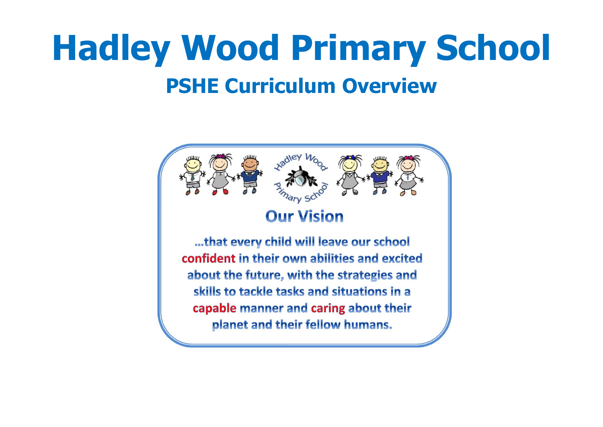# **Hadley Wood Primary School PSHE Curriculum Overview**

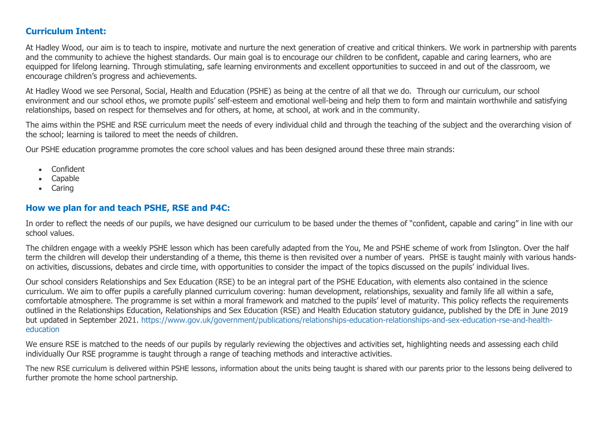#### **Curriculum Intent:**

At Hadley Wood, our aim is to teach to inspire, motivate and nurture the next generation of creative and critical thinkers. We work in partnership with parents and the community to achieve the highest standards. Our main goal is to encourage our children to be confident, capable and caring learners, who are equipped for lifelong learning. Through stimulating, safe learning environments and excellent opportunities to succeed in and out of the classroom, we encourage children's progress and achievements.

At Hadley Wood we see Personal, Social, Health and Education (PSHE) as being at the centre of all that we do. Through our curriculum, our school environment and our school ethos, we promote pupils' self-esteem and emotional well-being and help them to form and maintain worthwhile and satisfying relationships, based on respect for themselves and for others, at home, at school, at work and in the community.

The aims within the PSHE and RSE curriculum meet the needs of every individual child and through the teaching of the subject and the overarching vision of the school; learning is tailored to meet the needs of children.

Our PSHE education programme promotes the core school values and has been designed around these three main strands:

- Confident
- Capable
- Caring

#### **How we plan for and teach PSHE, RSE and P4C:**

In order to reflect the needs of our pupils, we have designed our curriculum to be based under the themes of "confident, capable and caring" in line with our school values.

The children engage with a weekly PSHE lesson which has been carefully adapted from the You, Me and PSHE scheme of work from Islington. Over the half term the children will develop their understanding of a theme, this theme is then revisited over a number of years. PHSE is taught mainly with various handson activities, discussions, debates and circle time, with opportunities to consider the impact of the topics discussed on the pupils' individual lives.

Our school considers Relationships and Sex Education (RSE) to be an integral part of the PSHE Education, with elements also contained in the science curriculum. We aim to offer pupils a carefully planned curriculum covering: human development, relationships, sexuality and family life all within a safe, comfortable atmosphere. The programme is set within a moral framework and matched to the pupils' level of maturity. This policy reflects the requirements outlined in the Relationships Education, Relationships and Sex Education (RSE) and Health Education statutory guidance, published by the DfE in June 2019 but updated in September 2021. [https://www.gov.uk/government/publications/relationships-education-relationships-and-sex-education-rse-and-health](https://www.gov.uk/government/publications/relationships-education-relationships-and-sex-education-rse-and-health-education)[education](https://www.gov.uk/government/publications/relationships-education-relationships-and-sex-education-rse-and-health-education) 

We ensure RSE is matched to the needs of our pupils by regularly reviewing the objectives and activities set, highlighting needs and assessing each child individually Our RSE programme is taught through a range of teaching methods and interactive activities.

The new RSE curriculum is delivered within PSHE lessons, information about the units being taught is shared with our parents prior to the lessons being delivered to further promote the home school partnership.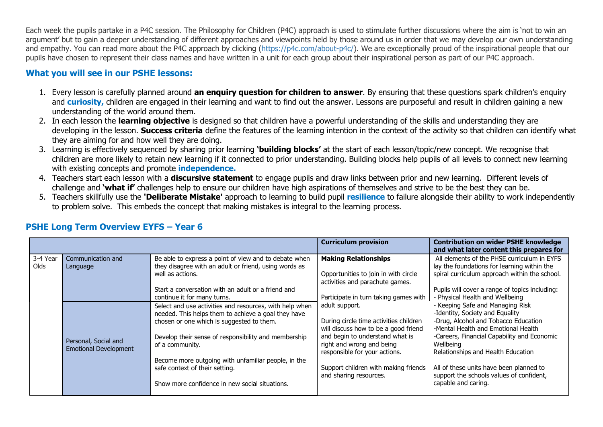Each week the pupils partake in a P4C session. The Philosophy for Children (P4C) approach is used to stimulate further discussions where the aim is 'not to win an argument' but to gain a deeper understanding of different approaches and viewpoints held by those around us in order that we may develop our own understanding and empathy. You can read more about the P4C approach by clicking [\(https://p4c.com/about-p4c/\)](https://p4c.com/about-p4c/). We are exceptionally proud of the inspirational people that our pupils have chosen to represent their class names and have written in a unit for each group about their inspirational person as part of our P4C approach.

### **What you will see in our PSHE lessons:**

- 1. Every lesson is carefully planned around **an enquiry question for children to answer**. By ensuring that these questions spark children's enquiry and **curiosity,** children are engaged in their learning and want to find out the answer. Lessons are purposeful and result in children gaining a new understanding of the world around them.
- 2. In each lesson the **learning objective** is designed so that children have a powerful understanding of the skills and understanding they are developing in the lesson. **Success criteria** define the features of the learning intention in the context of the activity so that children can identify what they are aiming for and how well they are doing.
- 3. Learning is effectively sequenced by sharing prior learning **'building blocks'** at the start of each lesson/topic/new concept. We recognise that children are more likely to retain new learning if it connected to prior understanding. Building blocks help pupils of all levels to connect new learning with existing concepts and promote **independence.**
- 4. Teachers start each lesson with a **discursive statement** to engage pupils and draw links between prior and new learning. Different levels of challenge and **'what if'** challenges help to ensure our children have high aspirations of themselves and strive to be the best they can be.
- 5. Teachers skillfully use the **'Deliberate Mistake'** approach to learning to build pupil **resilience** to failure alongside their ability to work independently to problem solve. This embeds the concept that making mistakes is integral to the learning process.

|          |                              |                                                         | <b>Curriculum provision</b>            | <b>Contribution on wider PSHE knowledge</b><br>and what later content this prepares for |
|----------|------------------------------|---------------------------------------------------------|----------------------------------------|-----------------------------------------------------------------------------------------|
| 3-4 Year | Communication and            | Be able to express a point of view and to debate when   | <b>Making Relationships</b>            | All elements of the PHSE curriculum in EYFS                                             |
| Olds     | Language                     | they disagree with an adult or friend, using words as   |                                        | lay the foundations for learning within the                                             |
|          |                              | well as actions.                                        | Opportunities to join in with circle   | spiral curriculum approach within the school.                                           |
|          |                              |                                                         | activities and parachute games.        |                                                                                         |
|          |                              | Start a conversation with an adult or a friend and      |                                        | Pupils will cover a range of topics including:                                          |
|          |                              | continue it for many turns.                             | Participate in turn taking games with  | - Physical Health and Wellbeing                                                         |
|          |                              | Select and use activities and resources, with help when | adult support.                         | - Keeping Safe and Managing Risk                                                        |
|          |                              | needed. This helps them to achieve a goal they have     |                                        | -Identity, Society and Equality                                                         |
|          |                              | chosen or one which is suggested to them.               | During circle time activities children | -Drug, Alcohol and Tobacco Education                                                    |
|          |                              |                                                         | will discuss how to be a good friend   | -Mental Health and Emotional Health                                                     |
|          | Personal, Social and         | Develop their sense of responsibility and membership    | and begin to understand what is        | -Careers, Financial Capability and Economic                                             |
|          | <b>Emotional Development</b> | of a community.                                         | right and wrong and being              | Wellbeing                                                                               |
|          |                              |                                                         | responsible for your actions.          | Relationships and Health Education                                                      |
|          |                              | Become more outgoing with unfamiliar people, in the     |                                        |                                                                                         |
|          |                              | safe context of their setting.                          | Support children with making friends   | All of these units have been planned to                                                 |
|          |                              |                                                         | and sharing resources.                 | support the schools values of confident,                                                |
|          |                              | Show more confidence in new social situations.          |                                        | capable and caring.                                                                     |
|          |                              |                                                         |                                        |                                                                                         |

## **PSHE Long Term Overview EYFS – Year 6**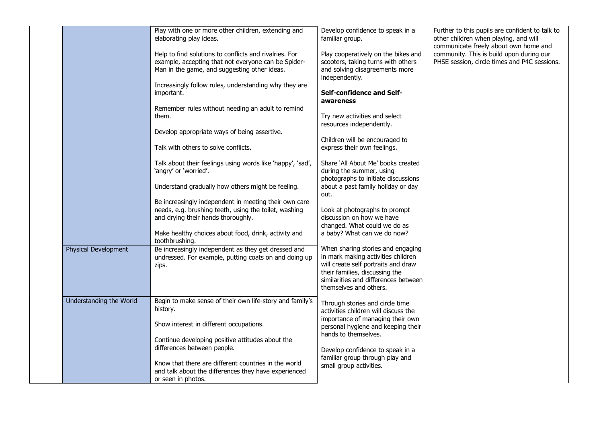|                         | Play with one or more other children, extending and<br>elaborating play ideas.                                                                                | Develop confidence to speak in a<br>familiar group.                                                                                                                                                                | Further to this pupils are confident to talk to<br>other children when playing, and will<br>communicate freely about own home and |
|-------------------------|---------------------------------------------------------------------------------------------------------------------------------------------------------------|--------------------------------------------------------------------------------------------------------------------------------------------------------------------------------------------------------------------|-----------------------------------------------------------------------------------------------------------------------------------|
|                         | Help to find solutions to conflicts and rivalries. For<br>example, accepting that not everyone can be Spider-<br>Man in the game, and suggesting other ideas. | Play cooperatively on the bikes and<br>scooters, taking turns with others<br>and solving disagreements more<br>independently.                                                                                      | community. This is build upon during our<br>PHSE session, circle times and P4C sessions.                                          |
|                         | Increasingly follow rules, understanding why they are<br>important.                                                                                           | Self-confidence and Self-<br>awareness                                                                                                                                                                             |                                                                                                                                   |
|                         | Remember rules without needing an adult to remind<br>them.                                                                                                    | Try new activities and select<br>resources independently.                                                                                                                                                          |                                                                                                                                   |
|                         | Develop appropriate ways of being assertive.<br>Talk with others to solve conflicts.                                                                          | Children will be encouraged to<br>express their own feelings.                                                                                                                                                      |                                                                                                                                   |
|                         | Talk about their feelings using words like 'happy', 'sad',<br>'angry' or 'worried'.                                                                           | Share 'All About Me' books created<br>during the summer, using<br>photographs to initiate discussions                                                                                                              |                                                                                                                                   |
|                         | Understand gradually how others might be feeling.                                                                                                             | about a past family holiday or day<br>out.                                                                                                                                                                         |                                                                                                                                   |
|                         | Be increasingly independent in meeting their own care<br>needs, e.g. brushing teeth, using the toilet, washing<br>and drying their hands thoroughly.          | Look at photographs to prompt<br>discussion on how we have<br>changed. What could we do as                                                                                                                         |                                                                                                                                   |
|                         | Make healthy choices about food, drink, activity and<br>toothbrushing.                                                                                        | a baby? What can we do now?                                                                                                                                                                                        |                                                                                                                                   |
| Physical Development    | Be increasingly independent as they get dressed and<br>undressed. For example, putting coats on and doing up<br>zips.                                         | When sharing stories and engaging<br>in mark making activities children<br>will create self portraits and draw<br>their families, discussing the<br>similarities and differences between<br>themselves and others. |                                                                                                                                   |
| Understanding the World | Begin to make sense of their own life-story and family's<br>history.                                                                                          | Through stories and circle time<br>activities children will discuss the<br>importance of managing their own                                                                                                        |                                                                                                                                   |
|                         | Show interest in different occupations.<br>Continue developing positive attitudes about the                                                                   | personal hygiene and keeping their<br>hands to themselves.                                                                                                                                                         |                                                                                                                                   |
|                         | differences between people.<br>Know that there are different countries in the world<br>and talk about the differences they have experienced                   | Develop confidence to speak in a<br>familiar group through play and<br>small group activities.                                                                                                                     |                                                                                                                                   |
|                         | or seen in photos.                                                                                                                                            |                                                                                                                                                                                                                    |                                                                                                                                   |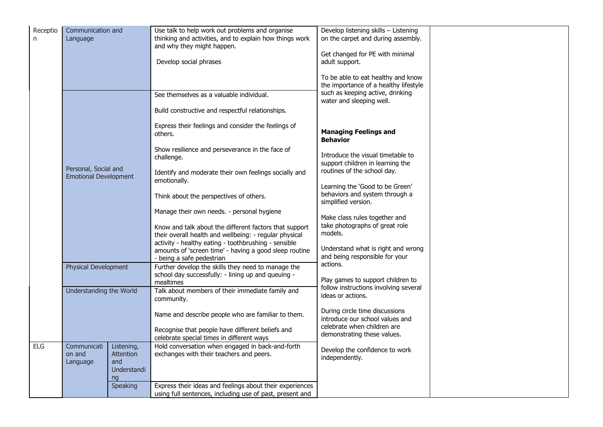| Receptio<br>n. | Communication and<br>Language                                                                                  |                                                     | Use talk to help work out problems and organise<br>thinking and activities, and to explain how things work<br>and why they might happen.<br>Develop social phrases | Develop listening skills - Listening<br>on the carpet and during assembly.<br>Get changed for PE with minimal<br>adult support.<br>To be able to eat healthy and know |  |
|----------------|----------------------------------------------------------------------------------------------------------------|-----------------------------------------------------|--------------------------------------------------------------------------------------------------------------------------------------------------------------------|-----------------------------------------------------------------------------------------------------------------------------------------------------------------------|--|
|                |                                                                                                                |                                                     | See themselves as a valuable individual.<br>Build constructive and respectful relationships.                                                                       | the importance of a healthy lifestyle<br>such as keeping active, drinking<br>water and sleeping well.                                                                 |  |
|                | Personal, Social and<br><b>Emotional Development</b><br><b>Physical Development</b><br>Understanding the World |                                                     | Express their feelings and consider the feelings of<br>others.                                                                                                     | <b>Managing Feelings and</b><br><b>Behavior</b>                                                                                                                       |  |
|                |                                                                                                                |                                                     | Show resilience and perseverance in the face of<br>challenge.                                                                                                      | Introduce the visual timetable to<br>support children in learning the<br>routines of the school day.<br>Learning the 'Good to be Green'                               |  |
|                |                                                                                                                |                                                     | Identify and moderate their own feelings socially and<br>emotionally.                                                                                              |                                                                                                                                                                       |  |
|                |                                                                                                                |                                                     | Think about the perspectives of others.                                                                                                                            | behaviors and system through a<br>simplified version.                                                                                                                 |  |
|                |                                                                                                                |                                                     | Manage their own needs. - personal hygiene<br>Know and talk about the different factors that support<br>their overall health and wellbeing: - regular physical     | Make class rules together and<br>take photographs of great role<br>models.                                                                                            |  |
|                |                                                                                                                |                                                     | activity - healthy eating - toothbrushing - sensible<br>amounts of 'screen time' - having a good sleep routine<br>- being a safe pedestrian                        | Understand what is right and wrong<br>and being responsible for your                                                                                                  |  |
|                |                                                                                                                |                                                     | Further develop the skills they need to manage the<br>school day successfully: - lining up and queuing -<br>mealtimes                                              | actions.<br>Play games to support children to                                                                                                                         |  |
|                |                                                                                                                |                                                     | Talk about members of their immediate family and<br>community.                                                                                                     | follow instructions involving several<br>ideas or actions.                                                                                                            |  |
|                |                                                                                                                |                                                     | Name and describe people who are familiar to them.                                                                                                                 | During circle time discussions<br>introduce our school values and<br>celebrate when children are                                                                      |  |
|                |                                                                                                                |                                                     | Recognise that people have different beliefs and<br>celebrate special times in different ways                                                                      | demonstrating these values.                                                                                                                                           |  |
| <b>ELG</b>     | Communicati<br>on and<br>Language                                                                              | Listening,<br>Attention<br>and<br>Understandi<br>ng | Hold conversation when engaged in back-and-forth<br>exchanges with their teachers and peers.                                                                       | Develop the confidence to work<br>independently.                                                                                                                      |  |
|                |                                                                                                                | <b>Speaking</b>                                     | Express their ideas and feelings about their experiences<br>using full sentences, including use of past, present and                                               |                                                                                                                                                                       |  |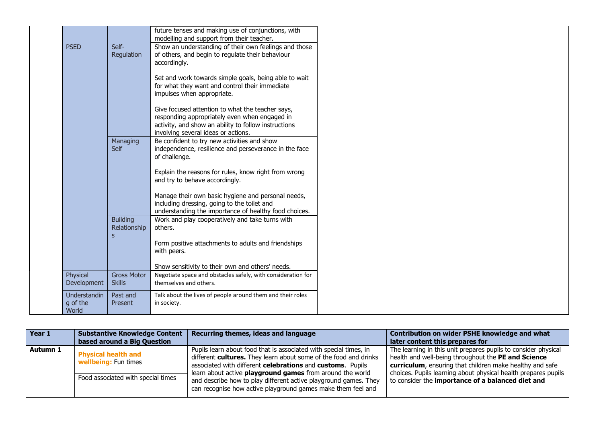|                                   |                                                 | future tenses and making use of conjunctions, with<br>modelling and support from their teacher.                                                                                                  |  |
|-----------------------------------|-------------------------------------------------|--------------------------------------------------------------------------------------------------------------------------------------------------------------------------------------------------|--|
| <b>PSED</b>                       | Self-<br>Regulation                             | Show an understanding of their own feelings and those<br>of others, and begin to regulate their behaviour<br>accordingly.                                                                        |  |
|                                   |                                                 | Set and work towards simple goals, being able to wait<br>for what they want and control their immediate<br>impulses when appropriate.                                                            |  |
|                                   |                                                 | Give focused attention to what the teacher says,<br>responding appropriately even when engaged in<br>activity, and show an ability to follow instructions<br>involving several ideas or actions. |  |
|                                   | Managing<br><b>Self</b>                         | Be confident to try new activities and show<br>independence, resilience and perseverance in the face<br>of challenge.                                                                            |  |
|                                   |                                                 | Explain the reasons for rules, know right from wrong<br>and try to behave accordingly.                                                                                                           |  |
|                                   |                                                 | Manage their own basic hygiene and personal needs,<br>including dressing, going to the toilet and<br>understanding the importance of healthy food choices.                                       |  |
|                                   | <b>Building</b><br>Relationship<br>$\mathbf{s}$ | Work and play cooperatively and take turns with<br>others.                                                                                                                                       |  |
|                                   |                                                 | Form positive attachments to adults and friendships<br>with peers.                                                                                                                               |  |
|                                   |                                                 | Show sensitivity to their own and others' needs.                                                                                                                                                 |  |
| Physical<br>Development           | <b>Gross Motor</b><br><b>Skills</b>             | Negotiate space and obstacles safely, with consideration for<br>themselves and others.                                                                                                           |  |
| Understandin<br>g of the<br>World | Past and<br><b>Present</b>                      | Talk about the lives of people around them and their roles<br>in society.                                                                                                                        |  |

| Year 1   | <b>Substantive Knowledge Content</b>                                                            | Recurring themes, ideas and language                                                                                                                                                                                                                                                                                                                                                                        | Contribution on wider PSHE knowledge and what                                                                                                                                                                                                                                                            |
|----------|-------------------------------------------------------------------------------------------------|-------------------------------------------------------------------------------------------------------------------------------------------------------------------------------------------------------------------------------------------------------------------------------------------------------------------------------------------------------------------------------------------------------------|----------------------------------------------------------------------------------------------------------------------------------------------------------------------------------------------------------------------------------------------------------------------------------------------------------|
|          | based around a Big Question                                                                     |                                                                                                                                                                                                                                                                                                                                                                                                             | later content this prepares for                                                                                                                                                                                                                                                                          |
| Autumn 1 | <b>Physical health and</b><br><b>wellbeing:</b> Fun times<br>Food associated with special times | Pupils learn about food that is associated with special times, in<br>different cultures. They learn about some of the food and drinks<br>associated with different celebrations and customs. Pupils<br>learn about active <b>playground games</b> from around the world<br>and describe how to play different active playground games. They<br>can recognise how active playground games make them feel and | The learning in this unit prepares pupils to consider physical<br>health and well-being throughout the PE and Science<br>curriculum, ensuring that children make healthy and safe<br>choices. Pupils learning about physical health prepares pupils<br>to consider the importance of a balanced diet and |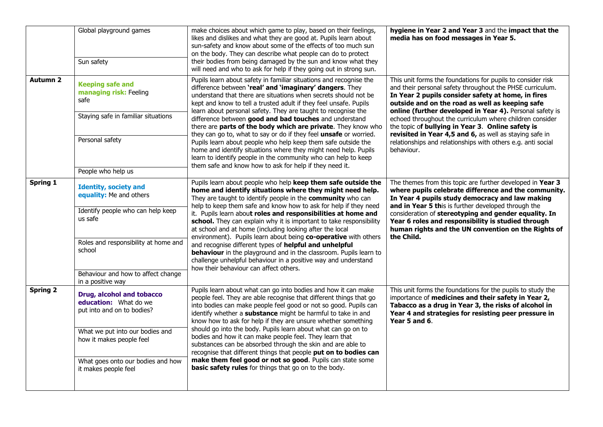|                 | Global playground games<br>Sun safety                                                                   | make choices about which game to play, based on their feelings,<br>likes and dislikes and what they are good at. Pupils learn about<br>sun-safety and know about some of the effects of too much sun<br>on the body. They can describe what people can do to protect<br>their bodies from being damaged by the sun and know what they<br>will need and who to ask for help if they going out in strong sun.                                   | hygiene in Year 2 and Year 3 and the impact that the<br>media has on food messages in Year 5.                                                                                                                                                                                                                                                             |
|-----------------|---------------------------------------------------------------------------------------------------------|-----------------------------------------------------------------------------------------------------------------------------------------------------------------------------------------------------------------------------------------------------------------------------------------------------------------------------------------------------------------------------------------------------------------------------------------------|-----------------------------------------------------------------------------------------------------------------------------------------------------------------------------------------------------------------------------------------------------------------------------------------------------------------------------------------------------------|
| <b>Autumn 2</b> | <b>Keeping safe and</b><br>managing risk: Feeling<br>safe<br>Staying safe in familiar situations        | Pupils learn about safety in familiar situations and recognise the<br>difference between 'real' and 'imaginary' dangers. They<br>understand that there are situations when secrets should not be<br>kept and know to tell a trusted adult if they feel unsafe. Pupils<br>learn about personal safety. They are taught to recognise the<br>difference between good and bad touches and understand                                              | This unit forms the foundations for pupils to consider risk<br>and their personal safety throughout the PHSE curriculum.<br>In Year 2 pupils consider safety at home, in fires<br>outside and on the road as well as keeping safe<br>online (further developed in Year 4). Personal safety is<br>echoed throughout the curriculum where children consider |
|                 | Personal safety<br>People who help us                                                                   | there are parts of the body which are private. They know who<br>they can go to, what to say or do if they feel unsafe or worried.<br>Pupils learn about people who help keep them safe outside the<br>home and identify situations where they might need help. Pupils<br>learn to identify people in the community who can help to keep<br>them safe and know how to ask for help if they need it.                                            | the topic of bullying in Year 3. Online safety is<br>revisited in Year 4,5 and 6, as well as staying safe in<br>relationships and relationships with others e.g. anti social<br>behaviour.                                                                                                                                                                |
| <b>Spring 1</b> | <b>Identity, society and</b><br>equality: Me and others<br>Identify people who can help keep<br>us safe | Pupils learn about people who help keep them safe outside the<br>home and identify situations where they might need help.<br>They are taught to identify people in the community who can<br>help to keep them safe and know how to ask for help if they need<br>it. Pupils learn about roles and responsibilities at home and                                                                                                                 | The themes from this topic are further developed in Year 3<br>where pupils celebrate difference and the community.<br>In Year 4 pupils study democracy and law making<br>and in Year 5 this is further developed through the<br>consideration of stereotyping and gender equality. In                                                                     |
|                 | Roles and responsibility at home and<br>school                                                          | school. They can explain why it is important to take responsibility<br>at school and at home (including looking after the local<br>environment). Pupils learn about being co-operative with others<br>and recognise different types of helpful and unhelpful<br>behaviour in the playground and in the classroom. Pupils learn to<br>challenge unhelpful behaviour in a positive way and understand<br>how their behaviour can affect others. | Year 6 roles and responsibility is studied through<br>human rights and the UN convention on the Rights of<br>the Child.                                                                                                                                                                                                                                   |
|                 | Behaviour and how to affect change<br>in a positive way                                                 |                                                                                                                                                                                                                                                                                                                                                                                                                                               |                                                                                                                                                                                                                                                                                                                                                           |
| <b>Spring 2</b> | Drug, alcohol and tobacco<br>education: What do we<br>put into and on to bodies?                        | Pupils learn about what can go into bodies and how it can make<br>people feel. They are able recognise that different things that go<br>into bodies can make people feel good or not so good. Pupils can<br>identify whether a substance might be harmful to take in and<br>know how to ask for help if they are unsure whether something                                                                                                     | This unit forms the foundations for the pupils to study the<br>importance of medicines and their safety in Year 2,<br>Tabacco as a drug in Year 3, the risks of alcohol in<br>Year 4 and strategies for resisting peer pressure in<br>Year 5 and 6.                                                                                                       |
|                 | What we put into our bodies and<br>how it makes people feel                                             | should go into the body. Pupils learn about what can go on to<br>bodies and how it can make people feel. They learn that<br>substances can be absorbed through the skin and are able to<br>recognise that different things that people put on to bodies can                                                                                                                                                                                   |                                                                                                                                                                                                                                                                                                                                                           |
|                 | What goes onto our bodies and how<br>it makes people feel                                               | make them feel good or not so good. Pupils can state some<br>basic safety rules for things that go on to the body.                                                                                                                                                                                                                                                                                                                            |                                                                                                                                                                                                                                                                                                                                                           |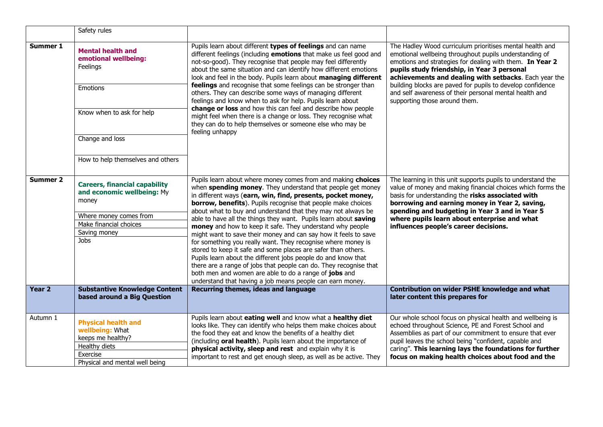|                   | Safety rules                                                                                                                                                         |                                                                                                                                                                                                                                                                                                                                                                                                                                                                                                                                                                                                                                                                                                                                                                                                                                                                                                                            |                                                                                                                                                                                                                                                                                                                                                                                                                                                 |
|-------------------|----------------------------------------------------------------------------------------------------------------------------------------------------------------------|----------------------------------------------------------------------------------------------------------------------------------------------------------------------------------------------------------------------------------------------------------------------------------------------------------------------------------------------------------------------------------------------------------------------------------------------------------------------------------------------------------------------------------------------------------------------------------------------------------------------------------------------------------------------------------------------------------------------------------------------------------------------------------------------------------------------------------------------------------------------------------------------------------------------------|-------------------------------------------------------------------------------------------------------------------------------------------------------------------------------------------------------------------------------------------------------------------------------------------------------------------------------------------------------------------------------------------------------------------------------------------------|
| Summer 1          | <b>Mental health and</b><br>emotional wellbeing:<br>Feelings<br><b>Emotions</b><br>Know when to ask for help<br>Change and loss<br>How to help themselves and others | Pupils learn about different types of feelings and can name<br>different feelings (including emotions that make us feel good and<br>not-so-good). They recognise that people may feel differently<br>about the same situation and can identify how different emotions<br>look and feel in the body. Pupils learn about managing different<br>feelings and recognise that some feelings can be stronger than<br>others. They can describe some ways of managing different<br>feelings and know when to ask for help. Pupils learn about<br>change or loss and how this can feel and describe how people<br>might feel when there is a change or loss. They recognise what<br>they can do to help themselves or someone else who may be<br>feeling unhappy                                                                                                                                                                   | The Hadley Wood curriculum prioritises mental health and<br>emotional wellbeing throughout pupils understanding of<br>emotions and strategies for dealing with them. In Year 2<br>pupils study friendship, in Year 3 personal<br>achievements and dealing with setbacks. Each year the<br>building blocks are paved for pupils to develop confidence<br>and self awareness of their personal mental health and<br>supporting those around them. |
| <b>Summer 2</b>   | <b>Careers, financial capability</b><br>and economic wellbeing: My<br>money<br>Where money comes from<br>Make financial choices<br>Saving money<br>Jobs              | Pupils learn about where money comes from and making choices<br>when spending money. They understand that people get money<br>in different ways (earn, win, find, presents, pocket money,<br>borrow, benefits). Pupils recognise that people make choices<br>about what to buy and understand that they may not always be<br>able to have all the things they want. Pupils learn about saving<br>money and how to keep it safe. They understand why people<br>might want to save their money and can say how it feels to save<br>for something you really want. They recognise where money is<br>stored to keep it safe and some places are safer than others.<br>Pupils learn about the different jobs people do and know that<br>there are a range of jobs that people can do. They recognise that<br>both men and women are able to do a range of jobs and<br>understand that having a job means people can earn money. | The learning in this unit supports pupils to understand the<br>value of money and making financial choices which forms the<br>basis for understanding the risks associated with<br>borrowing and earning money in Year 2, saving,<br>spending and budgeting in Year 3 and in Year 5<br>where pupils learn about enterprise and what<br>influences people's career decisions.                                                                    |
| Year <sub>2</sub> | <b>Substantive Knowledge Content</b><br>based around a Big Question                                                                                                  | Recurring themes, ideas and language                                                                                                                                                                                                                                                                                                                                                                                                                                                                                                                                                                                                                                                                                                                                                                                                                                                                                       | Contribution on wider PSHE knowledge and what<br>later content this prepares for                                                                                                                                                                                                                                                                                                                                                                |
| Autumn 1          | <b>Physical health and</b><br>wellbeing: What<br>keeps me healthy?<br>Healthy diets<br>Exercise<br>Physical and mental well being                                    | Pupils learn about eating well and know what a healthy diet<br>looks like. They can identify who helps them make choices about<br>the food they eat and know the benefits of a healthy diet<br>(including oral health). Pupils learn about the importance of<br>physical activity, sleep and rest and explain why it is<br>important to rest and get enough sleep, as well as be active. They                                                                                                                                                                                                                                                                                                                                                                                                                                                                                                                              | Our whole school focus on physical health and wellbeing is<br>echoed throughout Science, PE and Forest School and<br>Assemblies as part of our commitment to ensure that ever<br>pupil leaves the school being "confident, capable and<br>caring". This learning lays the foundations for further<br>focus on making health choices about food and the                                                                                          |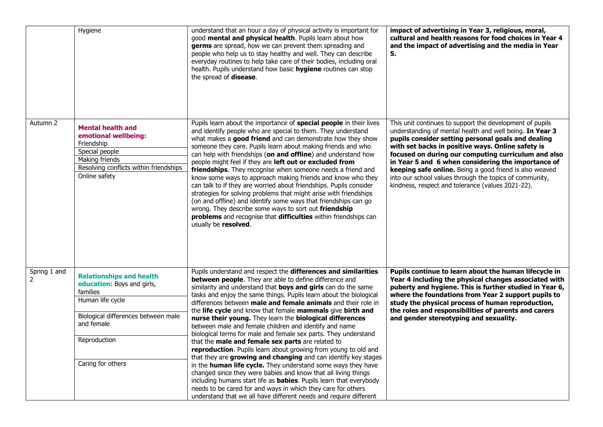|                                          | Hygiene                                                                                                                                                       | understand that an hour a day of physical activity is important for<br>good mental and physical health. Pupils learn about how<br>germs are spread, how we can prevent them spreading and<br>people who help us to stay healthy and well. They can describe<br>everyday routines to help take care of their bodies, including oral<br>health. Pupils understand how basic hygiene routines can stop<br>the spread of disease.                                                                                                                                                                                                                                                                                                                                                                                                                                                                | impact of advertising in Year 3, religious, moral,<br>cultural and health reasons for food choices in Year 4<br>and the impact of advertising and the media in Year<br>5.                                                                                                                                                                                                                                                                                                                                               |
|------------------------------------------|---------------------------------------------------------------------------------------------------------------------------------------------------------------|----------------------------------------------------------------------------------------------------------------------------------------------------------------------------------------------------------------------------------------------------------------------------------------------------------------------------------------------------------------------------------------------------------------------------------------------------------------------------------------------------------------------------------------------------------------------------------------------------------------------------------------------------------------------------------------------------------------------------------------------------------------------------------------------------------------------------------------------------------------------------------------------|-------------------------------------------------------------------------------------------------------------------------------------------------------------------------------------------------------------------------------------------------------------------------------------------------------------------------------------------------------------------------------------------------------------------------------------------------------------------------------------------------------------------------|
| Autumn 2                                 | <b>Mental health and</b><br>emotional wellbeing:<br>Friendship<br>Special people<br>Making friends<br>Resolving conflicts within friendships<br>Online safety | Pupils learn about the importance of special people in their lives<br>and identify people who are special to them. They understand<br>what makes a good friend and can demonstrate how they show<br>someone they care. Pupils learn about making friends and who<br>can help with friendships (on and offline) and understand how<br>people might feel if they are left out or excluded from<br>friendships. They recognise when someone needs a friend and<br>know some ways to approach making friends and know who they<br>can talk to if they are worried about friendships. Pupils consider<br>strategies for solving problems that might arise with friendships<br>(on and offline) and identify some ways that friendships can go<br>wrong. They describe some ways to sort out friendship<br>problems and recognise that difficulties within friendships can<br>usually be resolved. | This unit continues to support the development of pupils<br>understanding of mental health and well being. In Year 3<br>pupils consider setting personal goals and dealing<br>with set backs in positive ways. Online safety is<br>focused on during our computing curriculum and also<br>in Year 5 and 6 when considering the importance of<br>keeping safe online. Being a good friend is also weaved<br>into our school values through the topics of community,<br>kindness, respect and tolerance (values 2021-22). |
| Spring 1 and<br>$\overline{\phantom{a}}$ | <b>Relationships and health</b><br>education: Boys and girls,<br>families<br>Human life cycle<br>Biological differences between male<br>and female            | Pupils understand and respect the differences and similarities<br>between people. They are able to define difference and<br>similarity and understand that boys and girls can do the same<br>tasks and enjoy the same things. Pupils learn about the biological<br>differences between male and female animals and their role in<br>the life cycle and know that female mammals give birth and<br>nurse their young. They learn the biological differences                                                                                                                                                                                                                                                                                                                                                                                                                                   | Pupils continue to learn about the human lifecycle in<br>Year 4 including the physical changes associated with<br>puberty and hygiene. This is further studied in Year 6,<br>where the foundations from Year 2 support pupils to<br>study the physical process of human reproduction,<br>the roles and responsibilities of parents and carers<br>and gender stereotyping and sexuality.                                                                                                                                 |
|                                          | Reproduction                                                                                                                                                  | between male and female children and identify and name<br>biological terms for male and female sex parts. They understand<br>that the male and female sex parts are related to<br>reproduction. Pupils learn about growing from young to old and<br>that they are growing and changing and can identify key stages                                                                                                                                                                                                                                                                                                                                                                                                                                                                                                                                                                           |                                                                                                                                                                                                                                                                                                                                                                                                                                                                                                                         |
|                                          | Caring for others                                                                                                                                             | in the <b>human life cycle.</b> They understand some ways they have<br>changed since they were babies and know that all living things<br>including humans start life as <b>babies</b> . Pupils learn that everybody<br>needs to be cared for and ways in which they care for others<br>understand that we all have different needs and require different                                                                                                                                                                                                                                                                                                                                                                                                                                                                                                                                     |                                                                                                                                                                                                                                                                                                                                                                                                                                                                                                                         |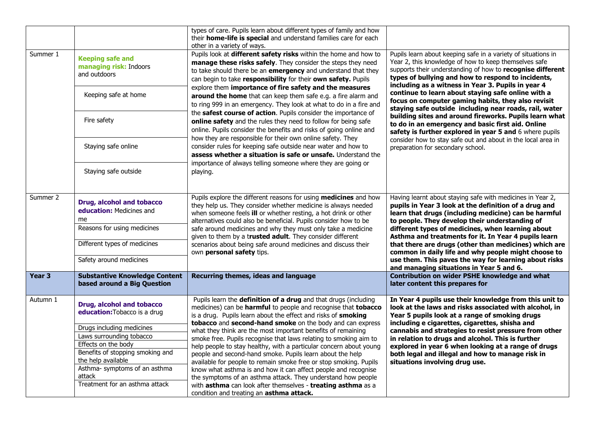|                   |                                                                     | types of care. Pupils learn about different types of family and how<br>their home-life is special and understand families care for each<br>other in a variety of ways.                                                                                                   |                                                                                                                                                                                                                                                                                                  |
|-------------------|---------------------------------------------------------------------|--------------------------------------------------------------------------------------------------------------------------------------------------------------------------------------------------------------------------------------------------------------------------|--------------------------------------------------------------------------------------------------------------------------------------------------------------------------------------------------------------------------------------------------------------------------------------------------|
| Summer 1          | <b>Keeping safe and</b><br>managing risk: Indoors<br>and outdoors   | Pupils look at different safety risks within the home and how to<br>manage these risks safely. They consider the steps they need<br>to take should there be an emergency and understand that they<br>can begin to take responsibility for their own safety. Pupils       | Pupils learn about keeping safe in a variety of situations in<br>Year 2, this knowledge of how to keep themselves safe<br>supports their understanding of how to recognise different<br>types of bullying and how to respond to incidents,<br>including as a witness in Year 3. Pupils in year 4 |
|                   | Keeping safe at home                                                | explore them importance of fire safety and the measures<br>around the home that can keep them safe e.g. a fire alarm and<br>to ring 999 in an emergency. They look at what to do in a fire and                                                                           | continue to learn about staying safe online with a<br>focus on computer gaming habits, they also revisit<br>staying safe outside including near roads, rail, water                                                                                                                               |
|                   | Fire safety                                                         | the safest course of action. Pupils consider the importance of<br>online safety and the rules they need to follow for being safe<br>online. Pupils consider the benefits and risks of going online and<br>how they are responsible for their own online safety. They     | building sites and around fireworks. Pupils learn what<br>to do in an emergency and basic first aid. Online<br>safety is further explored in year 5 and 6 where pupils                                                                                                                           |
|                   | Staying safe online                                                 | consider rules for keeping safe outside near water and how to<br>assess whether a situation is safe or unsafe. Understand the<br>importance of always telling someone where they are going or                                                                            | consider how to stay safe out and about in the local area in<br>preparation for secondary school.                                                                                                                                                                                                |
|                   | Staying safe outside                                                | playing.                                                                                                                                                                                                                                                                 |                                                                                                                                                                                                                                                                                                  |
| Summer 2          | Drug, alcohol and tobacco<br>education: Medicines and<br>me         | Pupils explore the different reasons for using medicines and how<br>they help us. They consider whether medicine is always needed<br>when someone feels ill or whether resting, a hot drink or other<br>alternatives could also be beneficial. Pupils consider how to be | Having learnt about staying safe with medicines in Year 2,<br>pupils in Year 3 look at the definition of a drug and<br>learn that drugs (including medicine) can be harmful<br>to people. They develop their understanding of                                                                    |
|                   | Reasons for using medicines                                         | safe around medicines and why they must only take a medicine<br>given to them by a trusted adult. They consider different                                                                                                                                                | different types of medicines, when learning about<br>Asthma and treatments for it. In Year 4 pupils learn                                                                                                                                                                                        |
|                   | Different types of medicines                                        | scenarios about being safe around medicines and discuss their<br>own personal safety tips.                                                                                                                                                                               | that there are drugs (other than medicines) which are<br>common in daily life and why people might choose to                                                                                                                                                                                     |
|                   | Safety around medicines                                             |                                                                                                                                                                                                                                                                          | use them. This paves the way for learning about risks<br>and managing situations in Year 5 and 6.                                                                                                                                                                                                |
| Year <sub>3</sub> | <b>Substantive Knowledge Content</b><br>based around a Big Question | Recurring themes, ideas and language                                                                                                                                                                                                                                     | <b>Contribution on wider PSHE knowledge and what</b><br>later content this prepares for                                                                                                                                                                                                          |
| Autumn 1          | Drug, alcohol and tobacco<br>education: Tobacco is a drug           | Pupils learn the definition of a drug and that drugs (including<br>medicines) can be harmful to people and recognise that tobacco<br>is a drug. Pupils learn about the effect and risks of smoking<br>tobacco and second-hand smoke on the body and can express          | In Year 4 pupils use their knowledge from this unit to<br>look at the laws and risks associated with alcohol, in<br>Year 5 pupils look at a range of smoking drugs<br>including e cigarettes, cigarettes, shisha and                                                                             |
|                   | Drugs including medicines                                           | what they think are the most important benefits of remaining                                                                                                                                                                                                             | cannabis and strategies to resist pressure from other                                                                                                                                                                                                                                            |
|                   | Laws surrounding tobacco<br>Effects on the body                     | smoke free. Pupils recognise that laws relating to smoking aim to                                                                                                                                                                                                        | in relation to drugs and alcohol. This is further                                                                                                                                                                                                                                                |
|                   | Benefits of stopping smoking and                                    | help people to stay healthy, with a particular concern about young                                                                                                                                                                                                       | explored in year 6 when looking at a range of drugs<br>both legal and illegal and how to manage risk in                                                                                                                                                                                          |
|                   | the help available                                                  | people and second-hand smoke. Pupils learn about the help<br>available for people to remain smoke free or stop smoking. Pupils                                                                                                                                           | situations involving drug use.                                                                                                                                                                                                                                                                   |
|                   | Asthma- symptoms of an asthma                                       | know what asthma is and how it can affect people and recognise                                                                                                                                                                                                           |                                                                                                                                                                                                                                                                                                  |
|                   | attack<br>Treatment for an asthma attack                            | the symptoms of an asthma attack. They understand how people                                                                                                                                                                                                             |                                                                                                                                                                                                                                                                                                  |
|                   |                                                                     | with asthma can look after themselves - treating asthma as a<br>condition and treating an <b>asthma attack.</b>                                                                                                                                                          |                                                                                                                                                                                                                                                                                                  |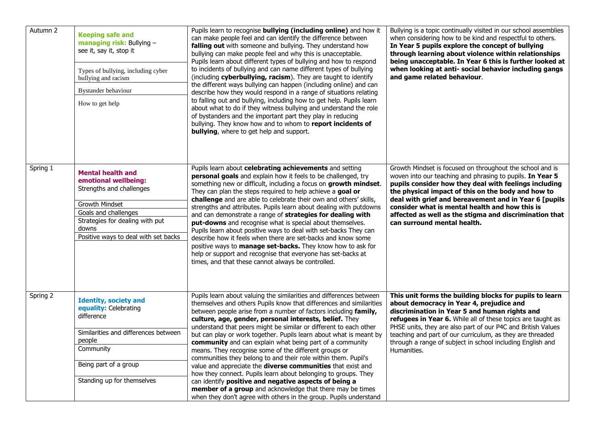| Autumn 2 | <b>Keeping safe and</b><br>managing risk: Bullying -<br>see it, say it, stop it<br>Types of bullying, including cyber<br>bullying and racism<br><b>Bystander behaviour</b><br>How to get help              | Pupils learn to recognise bullying (including online) and how it<br>can make people feel and can identify the difference between<br>falling out with someone and bullying. They understand how<br>bullying can make people feel and why this is unacceptable.<br>Pupils learn about different types of bullying and how to respond<br>to incidents of bullying and can name different types of bullying<br>(including cyberbullying, racism). They are taught to identify<br>the different ways bullying can happen (including online) and can<br>describe how they would respond in a range of situations relating<br>to falling out and bullying, including how to get help. Pupils learn<br>about what to do if they witness bullying and understand the role<br>of bystanders and the important part they play in reducing<br>bullying. They know how and to whom to report incidents of<br><b>bullying</b> , where to get help and support. | Bullying is a topic continually visited in our school assemblies<br>when considering how to be kind and respectful to others.<br>In Year 5 pupils explore the concept of bullying<br>through learning about violence within relationships<br>being unacceptable. In Year 6 this is further looked at<br>when looking at anti- social behavior including gangs<br>and game related behaviour.                                              |
|----------|------------------------------------------------------------------------------------------------------------------------------------------------------------------------------------------------------------|--------------------------------------------------------------------------------------------------------------------------------------------------------------------------------------------------------------------------------------------------------------------------------------------------------------------------------------------------------------------------------------------------------------------------------------------------------------------------------------------------------------------------------------------------------------------------------------------------------------------------------------------------------------------------------------------------------------------------------------------------------------------------------------------------------------------------------------------------------------------------------------------------------------------------------------------------|-------------------------------------------------------------------------------------------------------------------------------------------------------------------------------------------------------------------------------------------------------------------------------------------------------------------------------------------------------------------------------------------------------------------------------------------|
| Spring 1 | <b>Mental health and</b><br>emotional wellbeing:<br>Strengths and challenges<br>Growth Mindset<br>Goals and challenges<br>Strategies for dealing with put<br>downs<br>Positive ways to deal with set backs | Pupils learn about celebrating achievements and setting<br>personal goals and explain how it feels to be challenged, try<br>something new or difficult, including a focus on growth mindset.<br>They can plan the steps required to help achieve a goal or<br>challenge and are able to celebrate their own and others' skills,<br>strengths and attributes. Pupils learn about dealing with putdowns<br>and can demonstrate a range of strategies for dealing with<br>put-downs and recognise what is special about themselves.<br>Pupils learn about positive ways to deal with set-backs They can<br>describe how it feels when there are set-backs and know some<br>positive ways to manage set-backs. They know how to ask for<br>help or support and recognise that everyone has set-backs at<br>times, and that these cannot always be controlled.                                                                                        | Growth Mindset is focused on throughout the school and is<br>woven into our teaching and phrasing to pupils. In Year 5<br>pupils consider how they deal with feelings including<br>the physical impact of this on the body and how to<br>deal with grief and bereavement and in Year 6 [pupils<br>consider what is mental health and how this is<br>affected as well as the stigma and discrimination that<br>can surround mental health. |
| Spring 2 | <b>Identity, society and</b><br>equality: Celebrating<br>difference<br>Similarities and differences between<br>people<br>Community<br>Being part of a group<br>Standing up for themselves                  | Pupils learn about valuing the similarities and differences between<br>themselves and others Pupils know that differences and similarities<br>between people arise from a number of factors including family,<br>culture, age, gender, personal interests, belief. They<br>understand that peers might be similar or different to each other<br>but can play or work together. Pupils learn about what is meant by<br>community and can explain what being part of a community<br>means. They recognise some of the different groups or<br>communities they belong to and their role within them. Pupil's<br>value and appreciate the <b>diverse communities</b> that exist and<br>how they connect. Pupils learn about belonging to groups. They<br>can identify positive and negative aspects of being a<br>member of a group and acknowledge that there may be times<br>when they don't agree with others in the group. Pupils understand     | This unit forms the building blocks for pupils to learn<br>about democracy in Year 4, prejudice and<br>discrimination in Year 5 and human rights and<br>refugees in Year 6. While all of these topics are taught as<br>PHSE units, they are also part of our P4C and British Values<br>teaching and part of our curriculum, as they are threaded<br>through a range of subject in school including English and<br>Humanities.             |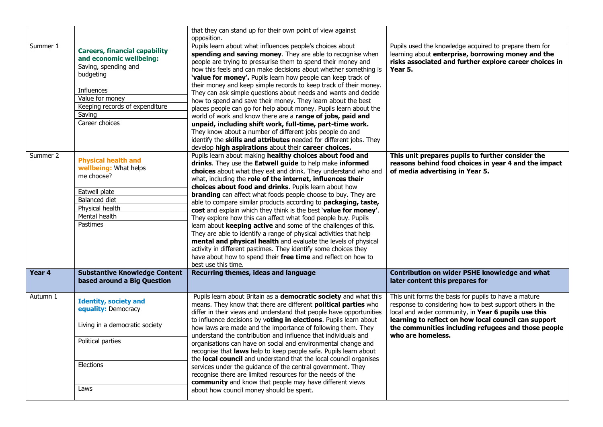|          |                                                                                                                                                                                                            | that they can stand up for their own point of view against<br>opposition.                                                                                                                                                                                                                                                                                                                                                                                                                                                                                                                                                                                                                                                                                                                                                                                                                                                                                                                                                  |                                                                                                                                                                                                                                                                                                                |
|----------|------------------------------------------------------------------------------------------------------------------------------------------------------------------------------------------------------------|----------------------------------------------------------------------------------------------------------------------------------------------------------------------------------------------------------------------------------------------------------------------------------------------------------------------------------------------------------------------------------------------------------------------------------------------------------------------------------------------------------------------------------------------------------------------------------------------------------------------------------------------------------------------------------------------------------------------------------------------------------------------------------------------------------------------------------------------------------------------------------------------------------------------------------------------------------------------------------------------------------------------------|----------------------------------------------------------------------------------------------------------------------------------------------------------------------------------------------------------------------------------------------------------------------------------------------------------------|
| Summer 1 | <b>Careers, financial capability</b><br>and economic wellbeing:<br>Saving, spending and<br>budgeting<br><b>Influences</b><br>Value for money<br>Keeping records of expenditure<br>Saving<br>Career choices | Pupils learn about what influences people's choices about<br>spending and saving money. They are able to recognise when<br>people are trying to pressurise them to spend their money and<br>how this feels and can make decisions about whether something is<br>'value for money'. Pupils learn how people can keep track of<br>their money and keep simple records to keep track of their money.<br>They can ask simple questions about needs and wants and decide<br>how to spend and save their money. They learn about the best<br>places people can go for help about money. Pupils learn about the<br>world of work and know there are a range of jobs, paid and<br>unpaid, including shift work, full-time, part-time work.<br>They know about a number of different jobs people do and<br>identify the skills and attributes needed for different jobs. They                                                                                                                                                       | Pupils used the knowledge acquired to prepare them for<br>learning about enterprise, borrowing money and the<br>risks associated and further explore career choices in<br>Year 5.                                                                                                                              |
| Summer 2 | <b>Physical health and</b><br>wellbeing: What helps<br>me choose?<br>Eatwell plate<br>Balanced diet<br>Physical health<br>Mental health<br>Pastimes                                                        | develop high aspirations about their career choices.<br>Pupils learn about making healthy choices about food and<br>drinks. They use the Eatwell guide to help make informed<br>choices about what they eat and drink. They understand who and<br>what, including the role of the internet, influences their<br>choices about food and drinks. Pupils learn about how<br><b>branding</b> can affect what foods people choose to buy. They are<br>able to compare similar products according to packaging, taste,<br>cost and explain which they think is the best 'value for money'.<br>They explore how this can affect what food people buy. Pupils<br>learn about keeping active and some of the challenges of this.<br>They are able to identify a range of physical activities that help<br>mental and physical health and evaluate the levels of physical<br>activity in different pastimes. They identify some choices they<br>have about how to spend their free time and reflect on how to<br>best use this time. | This unit prepares pupils to further consider the<br>reasons behind food choices in year 4 and the impact<br>of media advertising in Year 5.                                                                                                                                                                   |
| Year 4   | <b>Substantive Knowledge Content</b><br>based around a Big Question                                                                                                                                        | Recurring themes, ideas and language                                                                                                                                                                                                                                                                                                                                                                                                                                                                                                                                                                                                                                                                                                                                                                                                                                                                                                                                                                                       | Contribution on wider PSHE knowledge and what<br>later content this prepares for                                                                                                                                                                                                                               |
| Autumn 1 | <b>Identity, society and</b><br>equality: Democracy<br>Living in a democratic society<br>Political parties<br>Elections<br>Laws                                                                            | Pupils learn about Britain as a democratic society and what this<br>means. They know that there are different <b>political parties</b> who<br>differ in their views and understand that people have opportunities<br>to influence decisions by voting in elections. Pupils learn about<br>how laws are made and the importance of following them. They<br>understand the contribution and influence that individuals and<br>organisations can have on social and environmental change and<br>recognise that laws help to keep people safe. Pupils learn about<br>the local council and understand that the local council organises<br>services under the guidance of the central government. They<br>recognise there are limited resources for the needs of the<br>community and know that people may have different views<br>about how council money should be spent.                                                                                                                                                     | This unit forms the basis for pupils to have a mature<br>response to considering how to best support others in the<br>local and wider community, in Year 6 pupils use this<br>learning to reflect on how local council can support<br>the communities including refugees and those people<br>who are homeless. |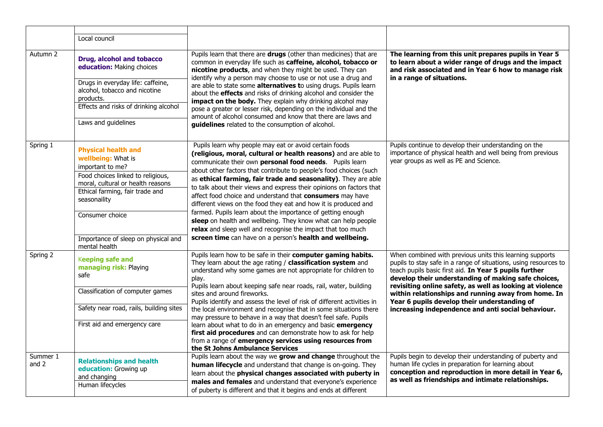|                     | Local council                                                                                                                                                                                                                                                                |                                                                                                                                                                                                                                                                                                                                                                                                                                                                                                                                                                                                                                                                                                                                                                                                |                                                                                                                                                                                                                                                                                                                                                                                                                                                                        |
|---------------------|------------------------------------------------------------------------------------------------------------------------------------------------------------------------------------------------------------------------------------------------------------------------------|------------------------------------------------------------------------------------------------------------------------------------------------------------------------------------------------------------------------------------------------------------------------------------------------------------------------------------------------------------------------------------------------------------------------------------------------------------------------------------------------------------------------------------------------------------------------------------------------------------------------------------------------------------------------------------------------------------------------------------------------------------------------------------------------|------------------------------------------------------------------------------------------------------------------------------------------------------------------------------------------------------------------------------------------------------------------------------------------------------------------------------------------------------------------------------------------------------------------------------------------------------------------------|
| Autumn 2            | Drug, alcohol and tobacco<br>education: Making choices<br>Drugs in everyday life: caffeine,<br>alcohol, tobacco and nicotine<br>products.<br>Effects and risks of drinking alcohol<br>Laws and guidelines                                                                    | Pupils learn that there are drugs (other than medicines) that are<br>common in everyday life such as caffeine, alcohol, tobacco or<br>nicotine products, and when they might be used. They can<br>identify why a person may choose to use or not use a drug and<br>are able to state some alternatives to using drugs. Pupils learn<br>about the <b>effects</b> and risks of drinking alcohol and consider the<br>impact on the body. They explain why drinking alcohol may<br>pose a greater or lesser risk, depending on the individual and the<br>amount of alcohol consumed and know that there are laws and<br>guidelines related to the consumption of alcohol.                                                                                                                          | The learning from this unit prepares pupils in Year 5<br>to learn about a wider range of drugs and the impact<br>and risk associated and in Year 6 how to manage risk<br>in a range of situations.                                                                                                                                                                                                                                                                     |
| Spring 1            | <b>Physical health and</b><br>wellbeing: What is<br>important to me?<br>Food choices linked to religious,<br>moral, cultural or health reasons<br>Ethical farming, fair trade and<br>seasonaility<br>Consumer choice<br>Importance of sleep on physical and<br>mental health | Pupils learn why people may eat or avoid certain foods<br>(religious, moral, cultural or health reasons) and are able to<br>communicate their own personal food needs. Pupils learn<br>about other factors that contribute to people's food choices (such<br>as ethical farming, fair trade and seasonality). They are able<br>to talk about their views and express their opinions on factors that<br>affect food choice and understand that consumers may have<br>different views on the food they eat and how it is produced and<br>farmed. Pupils learn about the importance of getting enough<br>sleep on health and wellbeing. They know what can help people<br>relax and sleep well and recognise the impact that too much<br>screen time can have on a person's health and wellbeing. | Pupils continue to develop their understanding on the<br>importance of physical health and well being from previous<br>year groups as well as PE and Science.                                                                                                                                                                                                                                                                                                          |
| Spring 2            | <b>Keeping safe and</b><br>managing risk: Playing<br>safe<br>Classification of computer games<br>Safety near road, rails, building sites<br>First aid and emergency care                                                                                                     | Pupils learn how to be safe in their computer gaming habits.<br>They learn about the age rating / classification system and<br>understand why some games are not appropriate for children to<br>play.<br>Pupils learn about keeping safe near roads, rail, water, building<br>sites and around fireworks.<br>Pupils identify and assess the level of risk of different activities in<br>the local environment and recognise that in some situations there<br>may pressure to behave in a way that doesn't feel safe. Pupils<br>learn about what to do in an emergency and basic emergency<br>first aid procedures and can demonstrate how to ask for help<br>from a range of emergency services using resources from<br>the St Johns Ambulance Services                                        | When combined with previous units this learning supports<br>pupils to stay safe in a range of situations, using resources to<br>teach pupils basic first aid. In Year 5 pupils further<br>develop their understanding of making safe choices,<br>revisiting online safety, as well as looking at violence<br>within relationships and running away from home. In<br>Year 6 pupils develop their understanding of<br>increasing independence and anti social behaviour. |
| Summer 1<br>and $2$ | <b>Relationships and health</b><br>education: Growing up<br>and changing<br>Human lifecycles                                                                                                                                                                                 | Pupils learn about the way we grow and change throughout the<br>human lifecycle and understand that change is on-going. They<br>learn about the physical changes associated with puberty in<br>males and females and understand that everyone's experience<br>of puberty is different and that it begins and ends at different                                                                                                                                                                                                                                                                                                                                                                                                                                                                 | Pupils begin to develop their understanding of puberty and<br>human life cycles in preparation for learning about<br>conception and reproduction in more detail in Year 6,<br>as well as friendships and intimate relationships.                                                                                                                                                                                                                                       |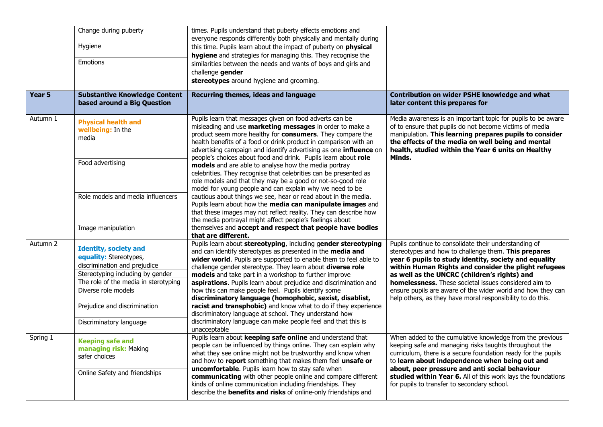|          | Change during puberty<br>Hygiene<br>Emotions                                                                                                                                                                                                         | times. Pupils understand that puberty effects emotions and<br>everyone responds differently both physically and mentally during<br>this time. Pupils learn about the impact of puberty on physical<br>hygiene and strategies for managing this. They recognise the<br>similarities between the needs and wants of boys and girls and<br>challenge gender<br>stereotypes around hygiene and grooming.                                                                                                                                                                                                                                                                                                       |                                                                                                                                                                                                                                                                                                                                                                                                                                                                      |
|----------|------------------------------------------------------------------------------------------------------------------------------------------------------------------------------------------------------------------------------------------------------|------------------------------------------------------------------------------------------------------------------------------------------------------------------------------------------------------------------------------------------------------------------------------------------------------------------------------------------------------------------------------------------------------------------------------------------------------------------------------------------------------------------------------------------------------------------------------------------------------------------------------------------------------------------------------------------------------------|----------------------------------------------------------------------------------------------------------------------------------------------------------------------------------------------------------------------------------------------------------------------------------------------------------------------------------------------------------------------------------------------------------------------------------------------------------------------|
| Year 5   | <b>Substantive Knowledge Content</b><br>based around a Big Question                                                                                                                                                                                  | Recurring themes, ideas and language                                                                                                                                                                                                                                                                                                                                                                                                                                                                                                                                                                                                                                                                       | Contribution on wider PSHE knowledge and what<br>later content this prepares for                                                                                                                                                                                                                                                                                                                                                                                     |
| Autumn 1 | <b>Physical health and</b><br>wellbeing: In the<br>media                                                                                                                                                                                             | Pupils learn that messages given on food adverts can be<br>misleading and use marketing messages in order to make a<br>product seem more healthy for consumers. They compare the<br>health benefits of a food or drink product in comparison with an<br>advertising campaign and identify advertising as one influence on<br>people's choices about food and drink. Pupils learn about role                                                                                                                                                                                                                                                                                                                | Media awareness is an important topic for pupils to be aware<br>of to ensure that pupils do not become victims of media<br>manipulation. This learning prepares pupils to consider<br>the effects of the media on well being and mental<br>health, studied within the Year 6 units on Healthy<br>Minds.                                                                                                                                                              |
|          | Food advertising                                                                                                                                                                                                                                     | models and are able to analyse how the media portray<br>celebrities. They recognise that celebrities can be presented as<br>role models and that they may be a good or not-so-good role<br>model for young people and can explain why we need to be                                                                                                                                                                                                                                                                                                                                                                                                                                                        |                                                                                                                                                                                                                                                                                                                                                                                                                                                                      |
|          | Role models and media influencers                                                                                                                                                                                                                    | cautious about things we see, hear or read about in the media.<br>Pupils learn about how the media can manipulate images and<br>that these images may not reflect reality. They can describe how<br>the media portrayal might affect people's feelings about                                                                                                                                                                                                                                                                                                                                                                                                                                               |                                                                                                                                                                                                                                                                                                                                                                                                                                                                      |
|          | Image manipulation                                                                                                                                                                                                                                   | themselves and accept and respect that people have bodies<br>that are different.                                                                                                                                                                                                                                                                                                                                                                                                                                                                                                                                                                                                                           |                                                                                                                                                                                                                                                                                                                                                                                                                                                                      |
| Autumn 2 | <b>Identity, society and</b><br>equality: Stereotypes,<br>discrimination and prejudice<br>Stereotyping including by gender<br>The role of the media in sterotyping<br>Diverse role models<br>Prejudice and discrimination<br>Discriminatory language | Pupils learn about stereotyping, including gender stereotyping<br>and can identify stereotypes as presented in the media and<br>wider world. Pupils are supported to enable them to feel able to<br>challenge gender stereotype. They learn about diverse role<br>models and take part in a workshop to further improve<br>aspirations. Pupils learn about prejudice and discrimination and<br>how this can make people feel. Pupils identify some<br>discriminatory language (homophobic, sexist, disablist,<br>racist and transphobic) and know what to do if they experience<br>discriminatory language at school. They understand how<br>discriminatory language can make people feel and that this is | Pupils continue to consolidate their understanding of<br>stereotypes and how to challenge them. This prepares<br>year 6 pupils to study identity, society and equality<br>within Human Rights and consider the plight refugees<br>as well as the UNCRC (children's rights) and<br>homelessness. These societal issues considered aim to<br>ensure pupils are aware of the wider world and how they can<br>help others, as they have moral responsibility to do this. |
| Spring 1 | <b>Keeping safe and</b><br>managing risk: Making<br>safer choices<br>Online Safety and friendships                                                                                                                                                   | unacceptable<br>Pupils learn about keeping safe online and understand that<br>people can be influenced by things online. They can explain why<br>what they see online might not be trustworthy and know when<br>and how to report something that makes them feel unsafe or<br>uncomfortable. Pupils learn how to stay safe when<br>communicating with other people online and compare different<br>kinds of online communication including friendships. They<br>describe the <b>benefits and risks</b> of online-only friendships and                                                                                                                                                                      | When added to the cumulative knowledge from the previous<br>keeping safe and managing risks taughts throughout the<br>curriculum, there is a secure foundation ready for the pupils<br>to learn about independence when being out and<br>about, peer pressure and anti social behaviour<br>studied within Year 6. All of this work lays the foundations<br>for pupils to transfer to secondary school.                                                               |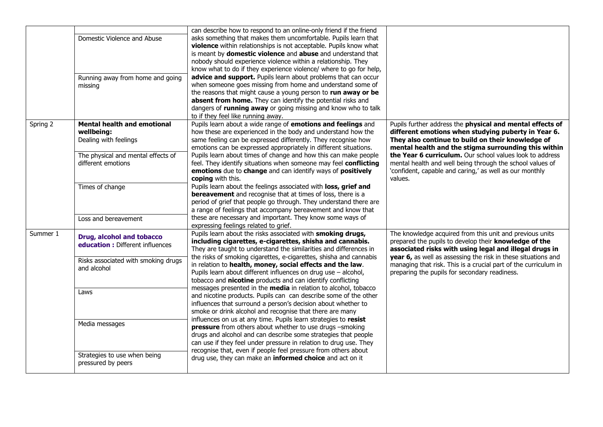|          | Domestic Violence and Abuse<br>Running away from home and going<br>missing                                                            | can describe how to respond to an online-only friend if the friend<br>asks something that makes them uncomfortable. Pupils learn that<br>violence within relationships is not acceptable. Pupils know what<br>is meant by <b>domestic violence</b> and <b>abuse</b> and understand that<br>nobody should experience violence within a relationship. They<br>know what to do if they experience violence/ where to go for help,<br>advice and support. Pupils learn about problems that can occur<br>when someone goes missing from home and understand some of<br>the reasons that might cause a young person to run away or be<br>absent from home. They can identify the potential risks and<br>dangers of running away or going missing and know who to talk<br>to if they feel like running away. |                                                                                                                                                                                                                                                                                                                                                                  |  |
|----------|---------------------------------------------------------------------------------------------------------------------------------------|-------------------------------------------------------------------------------------------------------------------------------------------------------------------------------------------------------------------------------------------------------------------------------------------------------------------------------------------------------------------------------------------------------------------------------------------------------------------------------------------------------------------------------------------------------------------------------------------------------------------------------------------------------------------------------------------------------------------------------------------------------------------------------------------------------|------------------------------------------------------------------------------------------------------------------------------------------------------------------------------------------------------------------------------------------------------------------------------------------------------------------------------------------------------------------|--|
| Spring 2 | <b>Mental health and emotional</b><br>wellbeing:<br>Dealing with feelings<br>The physical and mental effects of<br>different emotions | Pupils learn about a wide range of emotions and feelings and<br>how these are experienced in the body and understand how the<br>same feeling can be expressed differently. They recognise how<br>emotions can be expressed appropriately in different situations.<br>Pupils learn about times of change and how this can make people<br>feel. They identify situations when someone may feel conflicting                                                                                                                                                                                                                                                                                                                                                                                              | Pupils further address the physical and mental effects of<br>different emotions when studying puberty in Year 6.<br>They also continue to build on their knowledge of<br>mental health and the stigma surrounding this within<br>the Year 6 curriculum. Our school values look to address<br>mental health and well being through the school values of           |  |
|          | Times of change<br>Loss and bereavement                                                                                               | emotions due to change and can identify ways of positively<br>coping with this.<br>Pupils learn about the feelings associated with loss, grief and<br><b>bereavement</b> and recognise that at times of loss, there is a<br>period of grief that people go through. They understand there are<br>a range of feelings that accompany bereavement and know that<br>these are necessary and important. They know some ways of<br>expressing feelings related to grief.                                                                                                                                                                                                                                                                                                                                   | 'confident, capable and caring,' as well as our monthly<br>values.                                                                                                                                                                                                                                                                                               |  |
| Summer 1 | Drug, alcohol and tobacco<br>education : Different influences<br>Risks associated with smoking drugs<br>and alcohol                   | Pupils learn about the risks associated with smoking drugs,<br>including cigarettes, e-cigarettes, shisha and cannabis.<br>They are taught to understand the similarities and differences in<br>the risks of smoking cigarettes, e-cigarettes, shisha and cannabis<br>in relation to health, money, social effects and the law.<br>Pupils learn about different influences on drug use - alcohol,<br>tobacco and nicotine products and can identify conflicting                                                                                                                                                                                                                                                                                                                                       | The knowledge acquired from this unit and previous units<br>prepared the pupils to develop their knowledge of the<br>associated risks with using legal and illegal drugs in<br>year 6, as well as assessing the risk in these situations and<br>managing that risk. This is a crucial part of the curriculum in<br>preparing the pupils for secondary readiness. |  |
|          | Laws<br>Media messages<br>Strategies to use when being<br>pressured by peers                                                          | messages presented in the media in relation to alcohol, tobacco<br>and nicotine products. Pupils can can describe some of the other<br>influences that surround a person's decision about whether to<br>smoke or drink alcohol and recognise that there are many<br>influences on us at any time. Pupils learn strategies to resist<br>pressure from others about whether to use drugs -smoking<br>drugs and alcohol and can describe some strategies that people<br>can use if they feel under pressure in relation to drug use. They<br>recognise that, even if people feel pressure from others about<br>drug use, they can make an informed choice and act on it                                                                                                                                  |                                                                                                                                                                                                                                                                                                                                                                  |  |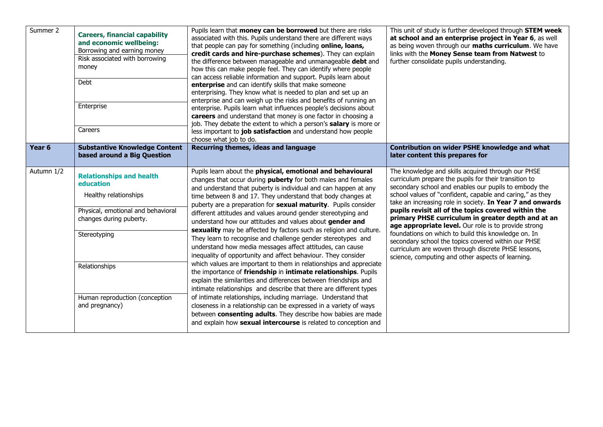| Summer 2          | <b>Careers, financial capability</b><br>and economic wellbeing:<br>Borrowing and earning money<br>Risk associated with borrowing<br>money<br>Debt<br>Enterprise<br>Careers | Pupils learn that money can be borrowed but there are risks<br>associated with this. Pupils understand there are different ways<br>that people can pay for something (including online, loans,<br>credit cards and hire-purchase schemes). They can explain<br>the difference between manageable and unmanageable debt and<br>how this can make people feel. They can identify where people<br>can access reliable information and support. Pupils learn about<br>enterprise and can identify skills that make someone<br>enterprising. They know what is needed to plan and set up an<br>enterprise and can weigh up the risks and benefits of running an<br>enterprise. Pupils learn what influences people's decisions about<br>careers and understand that money is one factor in choosing a<br>job. They debate the extent to which a person's <b>salary</b> is more or<br>less important to job satisfaction and understand how people<br>choose what job to do. | This unit of study is further developed through STEM week<br>at school and an enterprise project in Year 6, as well<br>as being woven through our maths curriculum. We have<br>links with the Money Sense team from Natwest to<br>further consolidate pupils understanding.                                                                                                                                                                                                                                                                                                                                                                                                                   |  |
|-------------------|----------------------------------------------------------------------------------------------------------------------------------------------------------------------------|------------------------------------------------------------------------------------------------------------------------------------------------------------------------------------------------------------------------------------------------------------------------------------------------------------------------------------------------------------------------------------------------------------------------------------------------------------------------------------------------------------------------------------------------------------------------------------------------------------------------------------------------------------------------------------------------------------------------------------------------------------------------------------------------------------------------------------------------------------------------------------------------------------------------------------------------------------------------|-----------------------------------------------------------------------------------------------------------------------------------------------------------------------------------------------------------------------------------------------------------------------------------------------------------------------------------------------------------------------------------------------------------------------------------------------------------------------------------------------------------------------------------------------------------------------------------------------------------------------------------------------------------------------------------------------|--|
| Year <sub>6</sub> | <b>Substantive Knowledge Content</b><br>based around a Big Question                                                                                                        | Recurring themes, ideas and language                                                                                                                                                                                                                                                                                                                                                                                                                                                                                                                                                                                                                                                                                                                                                                                                                                                                                                                                   | Contribution on wider PSHE knowledge and what<br>later content this prepares for                                                                                                                                                                                                                                                                                                                                                                                                                                                                                                                                                                                                              |  |
| Autumn 1/2        | <b>Relationships and health</b><br>education<br>Healthy relationships<br>Physical, emotional and behavioral<br>changes during puberty.<br>Stereotyping<br>Relationships    | Pupils learn about the physical, emotional and behavioural<br>changes that occur during <b>puberty</b> for both males and females<br>and understand that puberty is individual and can happen at any<br>time between 8 and 17. They understand that body changes at<br>puberty are a preparation for sexual maturity. Pupils consider<br>different attitudes and values around gender stereotyping and<br>understand how our attitudes and values about gender and<br>sexuality may be affected by factors such as religion and culture.<br>They learn to recognise and challenge gender stereotypes and<br>understand how media messages affect attitudes, can cause<br>inequality of opportunity and affect behaviour. They consider<br>which values are important to them in relationships and appreciate<br>the importance of friendship in intimate relationships. Pupils                                                                                         | The knowledge and skills acquired through our PHSE<br>curriculum prepare the pupils for their transition to<br>secondary school and enables our pupils to embody the<br>school values of "confident, capable and caring," as they<br>take an increasing role in society. In Year 7 and onwards<br>pupils revisit all of the topics covered within the<br>primary PHSE curriculum in greater depth and at an<br>age appropriate level. Our role is to provide strong<br>foundations on which to build this knowledge on. In<br>secondary school the topics covered within our PHSE<br>curriculum are woven through discrete PHSE lessons,<br>science, computing and other aspects of learning. |  |
|                   | Human reproduction (conception<br>and pregnancy)                                                                                                                           | explain the similarities and differences between friendships and<br>intimate relationships and describe that there are different types<br>of intimate relationships, including marriage. Understand that<br>closeness in a relationship can be expressed in a variety of ways<br>between consenting adults. They describe how babies are made<br>and explain how sexual intercourse is related to conception and                                                                                                                                                                                                                                                                                                                                                                                                                                                                                                                                                       |                                                                                                                                                                                                                                                                                                                                                                                                                                                                                                                                                                                                                                                                                               |  |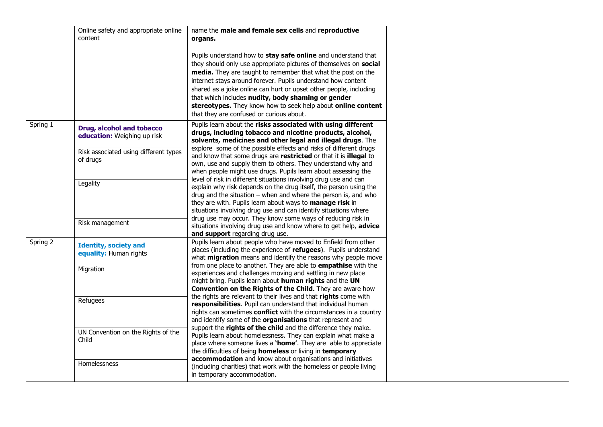|          | Online safety and appropriate online<br>content          | name the male and female sex cells and reproductive<br>organs.                                                                                                                                                                                                                                                                                                                                                                                                                                            |  |  |  |
|----------|----------------------------------------------------------|-----------------------------------------------------------------------------------------------------------------------------------------------------------------------------------------------------------------------------------------------------------------------------------------------------------------------------------------------------------------------------------------------------------------------------------------------------------------------------------------------------------|--|--|--|
|          |                                                          | Pupils understand how to stay safe online and understand that<br>they should only use appropriate pictures of themselves on social<br>media. They are taught to remember that what the post on the<br>internet stays around forever. Pupils understand how content<br>shared as a joke online can hurt or upset other people, including<br>that which includes nudity, body shaming or gender<br>stereotypes. They know how to seek help about online content<br>that they are confused or curious about. |  |  |  |
| Spring 1 | Drug, alcohol and tobacco<br>education: Weighing up risk | Pupils learn about the risks associated with using different<br>drugs, including tobacco and nicotine products, alcohol,<br>solvents, medicines and other legal and illegal drugs. The                                                                                                                                                                                                                                                                                                                    |  |  |  |
|          | Risk associated using different types<br>of drugs        | explore some of the possible effects and risks of different drugs<br>and know that some drugs are restricted or that it is illegal to<br>own, use and supply them to others. They understand why and<br>when people might use drugs. Pupils learn about assessing the                                                                                                                                                                                                                                     |  |  |  |
|          | Legality                                                 | level of risk in different situations involving drug use and can<br>explain why risk depends on the drug itself, the person using the<br>drug and the situation $-$ when and where the person is, and who<br>they are with. Pupils learn about ways to manage risk in<br>situations involving drug use and can identify situations where                                                                                                                                                                  |  |  |  |
|          | Risk management                                          | drug use may occur. They know some ways of reducing risk in<br>situations involving drug use and know where to get help, advice<br>and support regarding drug use.                                                                                                                                                                                                                                                                                                                                        |  |  |  |
| Spring 2 | <b>Identity, society and</b><br>equality: Human rights   | Pupils learn about people who have moved to Enfield from other<br>places (including the experience of refugees). Pupils understand<br>what migration means and identify the reasons why people move                                                                                                                                                                                                                                                                                                       |  |  |  |
|          | Migration                                                | from one place to another. They are able to <b>empathise</b> with the<br>experiences and challenges moving and settling in new place<br>might bring. Pupils learn about human rights and the UN<br>Convention on the Rights of the Child. They are aware how                                                                                                                                                                                                                                              |  |  |  |
|          | Refugees                                                 | the rights are relevant to their lives and that rights come with<br>responsibilities. Pupil can understand that individual human<br>rights can sometimes conflict with the circumstances in a country<br>and identify some of the organisations that represent and                                                                                                                                                                                                                                        |  |  |  |
|          | UN Convention on the Rights of the<br>Child              | support the rights of the child and the difference they make.<br>Pupils learn about homelessness. They can explain what make a<br>place where someone lives a 'home'. They are able to appreciate<br>the difficulties of being homeless or living in temporary                                                                                                                                                                                                                                            |  |  |  |
|          | Homelessness                                             | accommodation and know about organisations and initiatives<br>(including charities) that work with the homeless or people living<br>in temporary accommodation.                                                                                                                                                                                                                                                                                                                                           |  |  |  |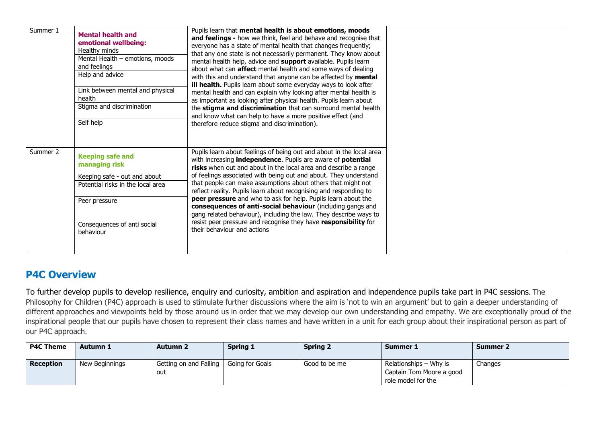| Summer 1 | <b>Mental health and</b><br>emotional wellbeing:<br>Healthy minds<br>Mental Health - emotions, moods<br>and feelings<br>Help and advice<br>Link between mental and physical<br>health<br>Stigma and discrimination<br>Self help | Pupils learn that mental health is about emotions, moods<br>and feelings - how we think, feel and behave and recognise that<br>everyone has a state of mental health that changes frequently;<br>that any one state is not necessarily permanent. They know about<br>mental health help, advice and support available. Pupils learn<br>about what can affect mental health and some ways of dealing<br>with this and understand that anyone can be affected by mental<br>ill health. Pupils learn about some everyday ways to look after<br>mental health and can explain why looking after mental health is<br>as important as looking after physical health. Pupils learn about<br>the stigma and discrimination that can surround mental health<br>and know what can help to have a more positive effect (and<br>therefore reduce stigma and discrimination). |  |
|----------|---------------------------------------------------------------------------------------------------------------------------------------------------------------------------------------------------------------------------------|------------------------------------------------------------------------------------------------------------------------------------------------------------------------------------------------------------------------------------------------------------------------------------------------------------------------------------------------------------------------------------------------------------------------------------------------------------------------------------------------------------------------------------------------------------------------------------------------------------------------------------------------------------------------------------------------------------------------------------------------------------------------------------------------------------------------------------------------------------------|--|
| Summer 2 | <b>Keeping safe and</b><br>managing risk<br>Keeping safe - out and about<br>Potential risks in the local area<br>Peer pressure<br>Consequences of anti social<br>behaviour                                                      | Pupils learn about feelings of being out and about in the local area<br>with increasing independence. Pupils are aware of potential<br>risks when out and about in the local area and describe a range<br>of feelings associated with being out and about. They understand<br>that people can make assumptions about others that might not<br>reflect reality. Pupils learn about recognising and responding to<br>peer pressure and who to ask for help. Pupils learn about the<br>consequences of anti-social behaviour (including gangs and<br>gang related behaviour), including the law. They describe ways to<br>resist peer pressure and recognise they have responsibility for<br>their behaviour and actions                                                                                                                                            |  |

# **P4C Overview**

To further develop pupils to develop resilience, enquiry and curiosity, ambition and aspiration and independence pupils take part in P4C sessions. The Philosophy for Children (P4C) approach is used to stimulate further discussions where the aim is 'not to win an argument' but to gain a deeper understanding of different approaches and viewpoints held by those around us in order that we may develop our own understanding and empathy. We are exceptionally proud of the inspirational people that our pupils have chosen to represent their class names and have written in a unit for each group about their inspirational person as part of our P4C approach.

| <b>P4C Theme</b> | Autumn 1       | <b>Autumn 2</b>        | <b>Spring 1</b> | <b>Spring 2</b> | Summer 1                 | <b>Summer 2</b> |
|------------------|----------------|------------------------|-----------------|-----------------|--------------------------|-----------------|
| <b>Reception</b> | New Beginnings | Getting on and Falling | Going for Goals | Good to be me   | Relationships – Why is   | Changes         |
|                  |                | out                    |                 |                 | Captain Tom Moore a good |                 |
|                  |                |                        |                 |                 | role model for the       |                 |